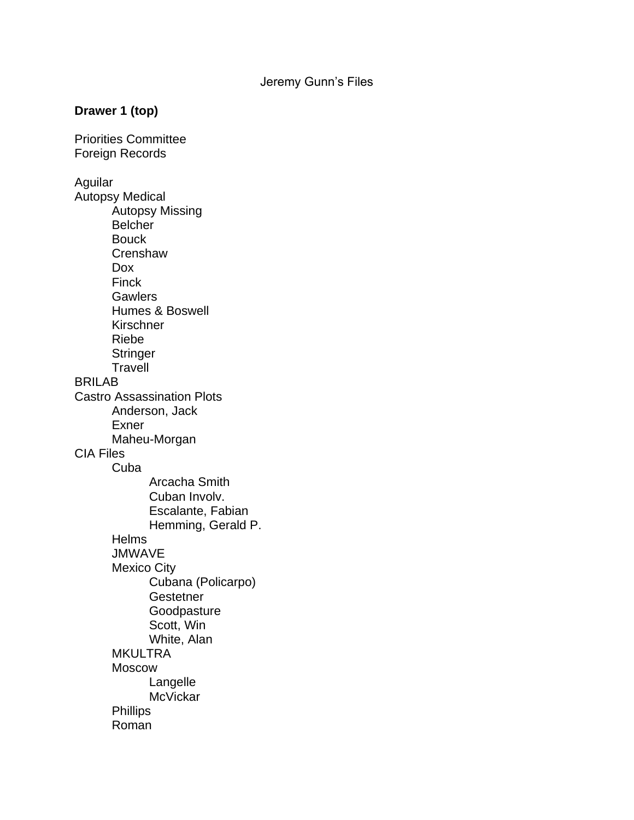## **Drawer 1 (top)**

Priorities Committee Foreign Records Aguilar Autopsy Medical Autopsy Missing Belcher **Bouck Crenshaw** Dox Finck **Gawlers** Humes & Boswell **Kirschner** Riebe **Stringer Travell** BRILAB Castro Assassination Plots Anderson, Jack Exner Maheu-Morgan CIA Files Cuba Arcacha Smith Cuban Involv. Escalante, Fabian Hemming, Gerald P. **Helms JMWAVE** Mexico City Cubana (Policarpo) **Gestetner** Goodpasture Scott, Win White, Alan **MKULTRA** Moscow Langelle **McVickar Phillips** Roman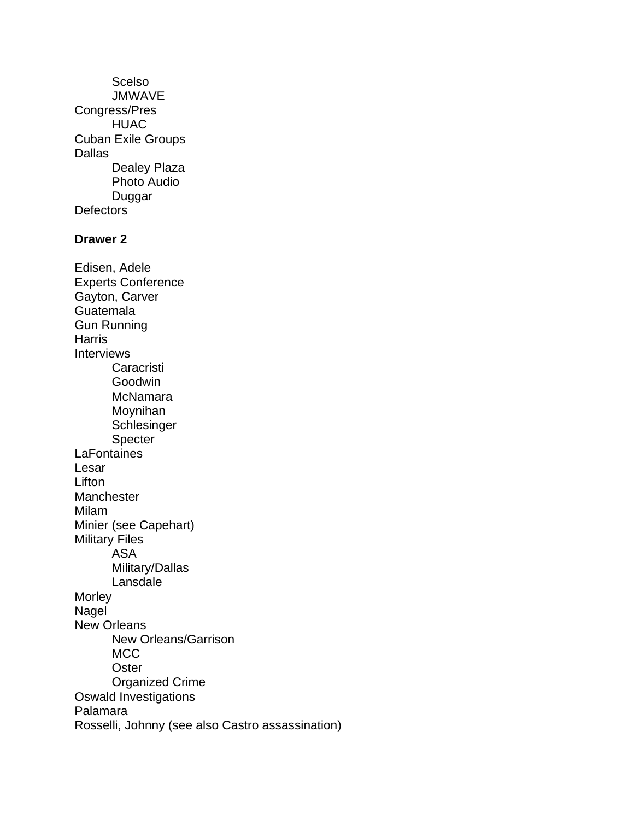Scelso **JMWAVE** Congress/Pres HUAC Cuban Exile Groups **Dallas** Dealey Plaza Photo Audio Duggar **Defectors Drawer 2** Edisen, Adele Experts Conference Gayton, Carver Guatemala Gun Running **Harris** Interviews **Caracristi** Goodwin McNamara Moynihan Schlesinger Specter **LaFontaines** Lesar Lifton **Manchester** Milam Minier (see Capehart) Military Files ASA Military/Dallas **Lansdale Morley Nagel** New Orleans New Orleans/Garrison MCC **Oster** Organized Crime Oswald Investigations Palamara Rosselli, Johnny (see also Castro assassination)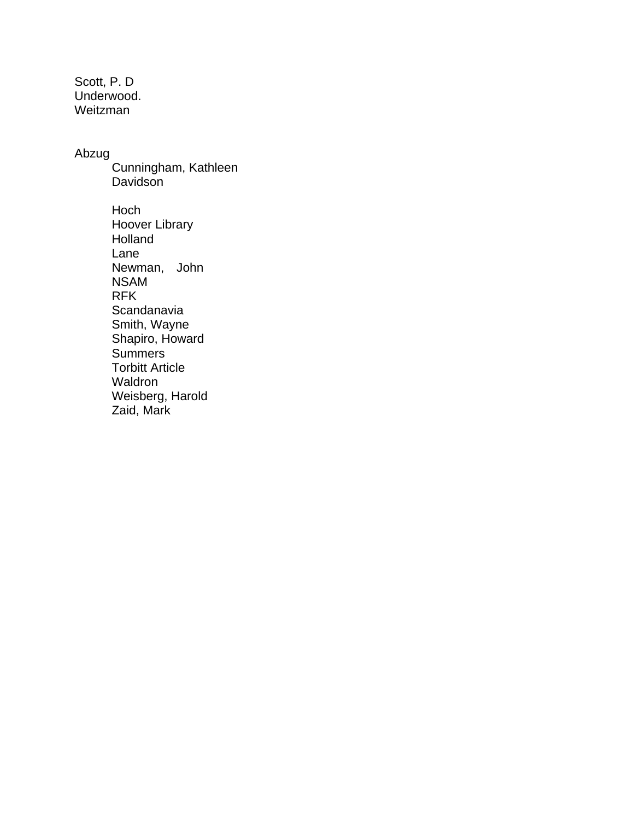Scott, P. D Underwood. Weitzman

## Abzug

Cunningham, Kathleen Davidson

Hoch Hoover Library Holland Lane Newman, John NSAM RFK **Scandanavia** Smith, Wayne Shapiro, Howard Summers Torbitt Article Waldron Weisberg, Harold Zaid, Mark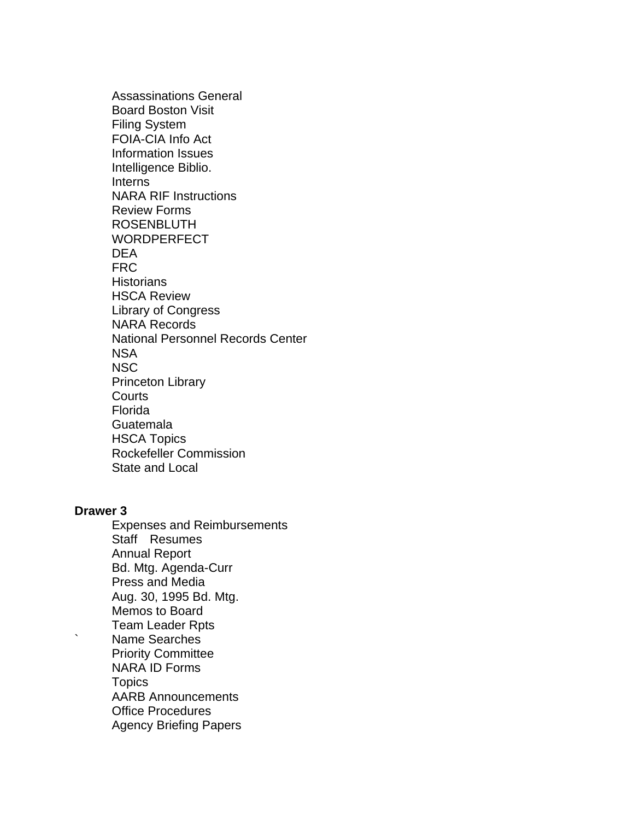Assassinations General Board Boston Visit Filing System FOIA-CIA Info Act Information Issues Intelligence Biblio. Interns NARA RIF Instructions Review Forms ROSENBLUTH WORDPERFECT DEA FRC **Historians** HSCA Review Library of Congress NARA Records National Personnel Records Center NSA NSC Princeton Library **Courts** Florida Guatemala HSCA Topics Rockefeller Commission State and Local

## **Drawer 3**

Expenses and Reimbursements Staff Resumes Annual Report Bd. Mtg. Agenda-Curr Press and Media Aug. 30, 1995 Bd. Mtg. Memos to Board Team Leader Rpts ` Name Searches Priority Committee NARA ID Forms **Topics** AARB Announcements Office Procedures Agency Briefing Papers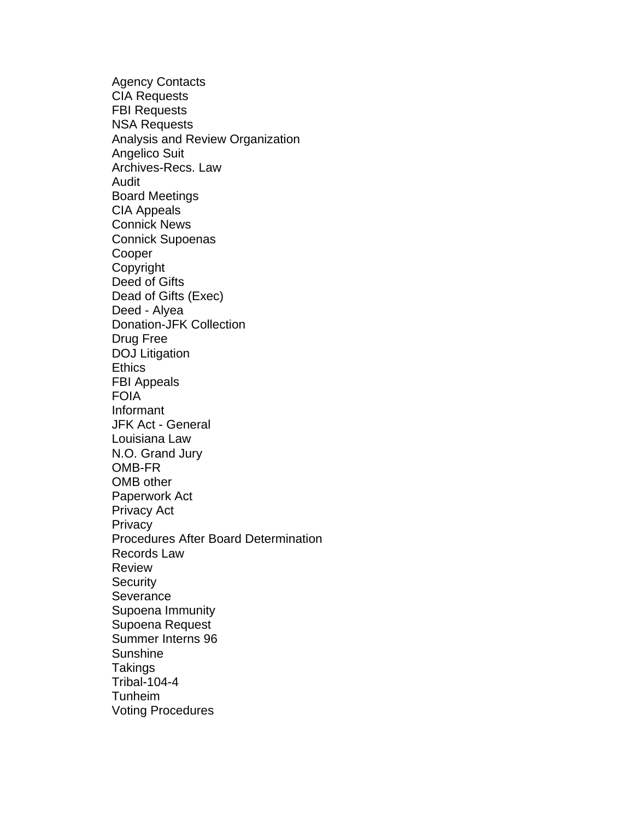Agency Contacts CIA Requests FBI Requests NSA Requests Analysis and Review Organization Angelico Suit Archives-Recs. Law Audit Board Meetings CIA Appeals Connick News Connick Supoenas **Cooper** Copyright Deed of Gifts Dead of Gifts (Exec) Deed - Alyea Donation-JFK Collection Drug Free DOJ Litigation **Ethics** FBI Appeals FOIA Informant JFK Act - General Louisiana Law N.O. Grand Jury OMB-FR OMB other Paperwork Act Privacy Act **Privacy** Procedures After Board Determination Records Law Review **Security Severance** Supoena Immunity Supoena Request Summer Interns 96 Sunshine **Takings** Tribal-104-4 Tunheim Voting Procedures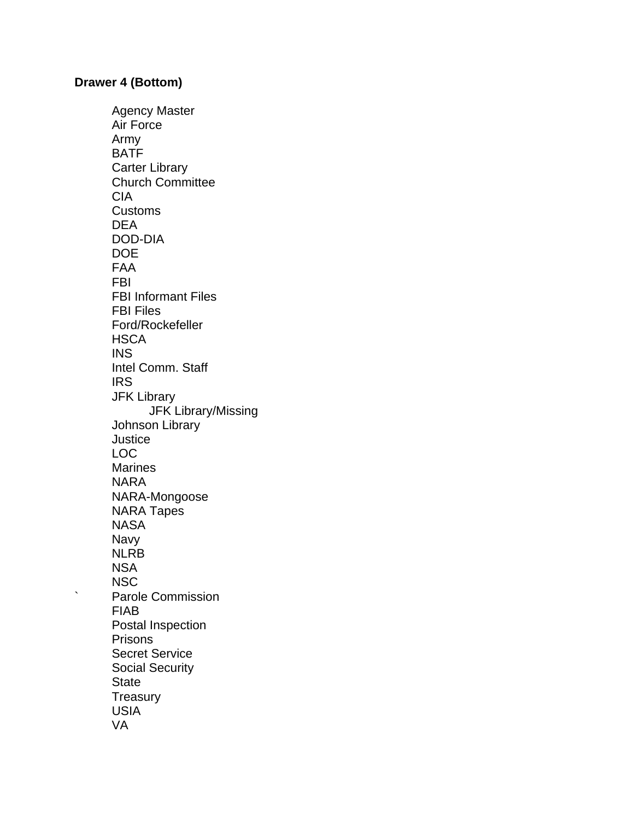## **Drawer 4 (Bottom)**

Agency Master Air Force Army BATF Carter Library Church Committee CIA Customs DEA DOD-DIA DOE FAA FBI FBI Informant Files FBI Files Ford/Rockefeller **HSCA** INS Intel Comm. Staff **IRS** JFK Library JFK Library/Missing Johnson Library **Justice** LOC Marines NARA NARA-Mongoose NARA Tapes **NASA** Navy NLRB NSA **NSC** ` Parole Commission FIAB Postal Inspection Prisons Secret Service Social Security **State Treasury** USIA VA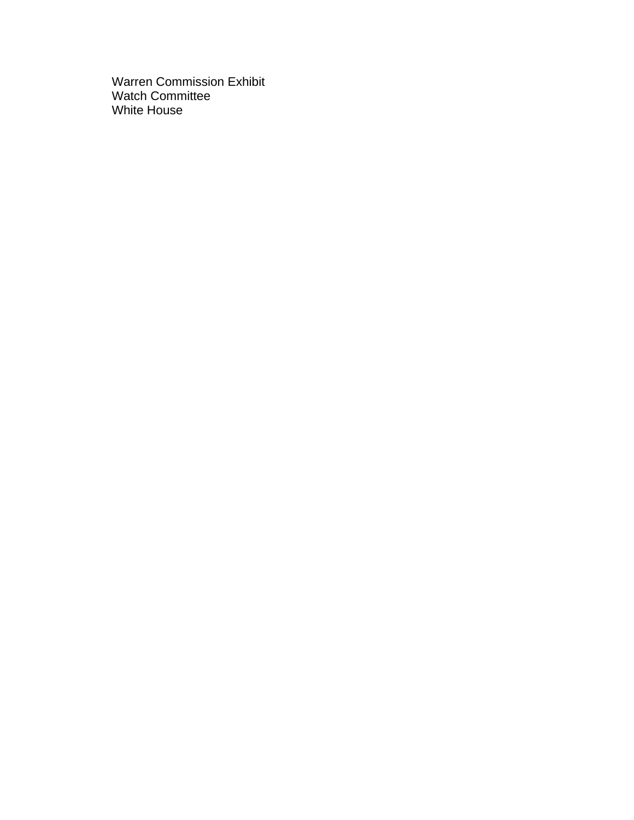Warren Commission Exhibit Watch Committee White House